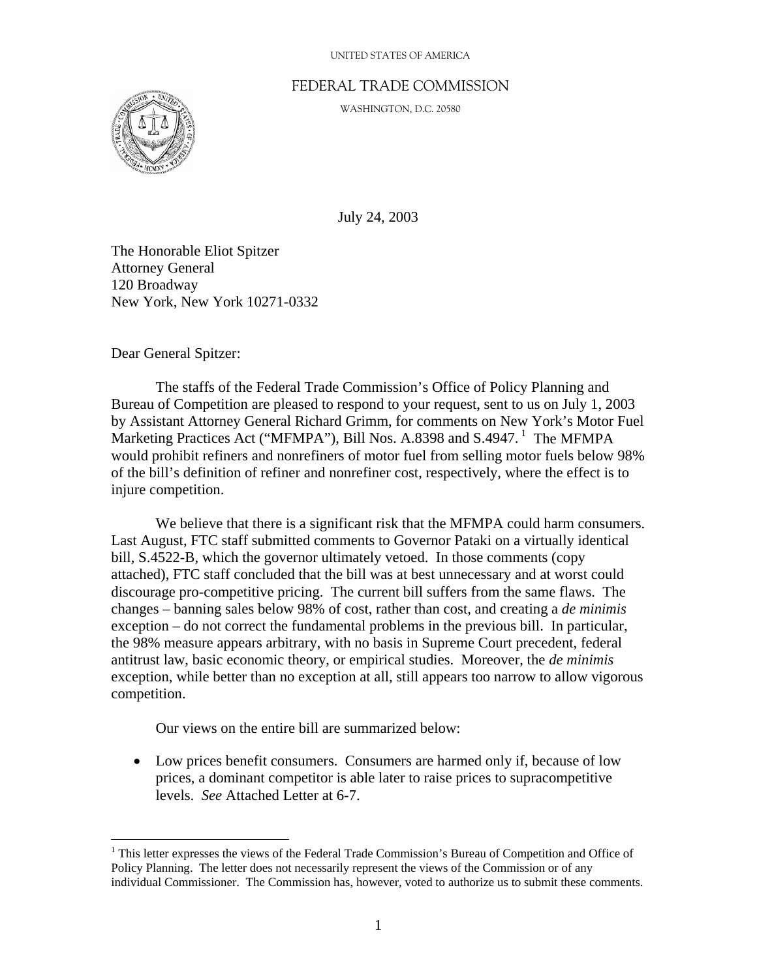#### UNITED STATES OF AMERICA

### FEDERAL TRADE COMMISSION

WASHINGTON, D.C. 20580



July 24, 2003

The Honorable Eliot Spitzer Attorney General 120 Broadway New York, New York 10271-0332

Dear General Spitzer:

1

 The staffs of the Federal Trade Commission's Office of Policy Planning and Bureau of Competition are pleased to respond to your request, sent to us on July 1, 2003 by Assistant Attorney General Richard Grimm, for comments on New York's Motor Fuel Marketing Practices Act ("MFMPA"), Bill Nos. A.8398 and S.4947.<sup>1</sup> The MFMPA would prohibit refiners and nonrefiners of motor fuel from selling motor fuels below 98% of the bill's definition of refiner and nonrefiner cost, respectively, where the effect is to injure competition.

 We believe that there is a significant risk that the MFMPA could harm consumers. Last August, FTC staff submitted comments to Governor Pataki on a virtually identical bill, S.4522-B, which the governor ultimately vetoed. In those comments (copy attached), FTC staff concluded that the bill was at best unnecessary and at worst could discourage pro-competitive pricing. The current bill suffers from the same flaws. The changes – banning sales below 98% of cost, rather than cost, and creating a *de minimis* exception – do not correct the fundamental problems in the previous bill. In particular, the 98% measure appears arbitrary, with no basis in Supreme Court precedent, federal antitrust law, basic economic theory, or empirical studies. Moreover, the *de minimis*  exception, while better than no exception at all, still appears too narrow to allow vigorous competition.

Our views on the entire bill are summarized below:

• Low prices benefit consumers. Consumers are harmed only if, because of low prices, a dominant competitor is able later to raise prices to supracompetitive levels. *See* Attached Letter at 6-7.

<sup>&</sup>lt;sup>1</sup> This letter expresses the views of the Federal Trade Commission's Bureau of Competition and Office of Policy Planning. The letter does not necessarily represent the views of the Commission or of any individual Commissioner. The Commission has, however, voted to authorize us to submit these comments.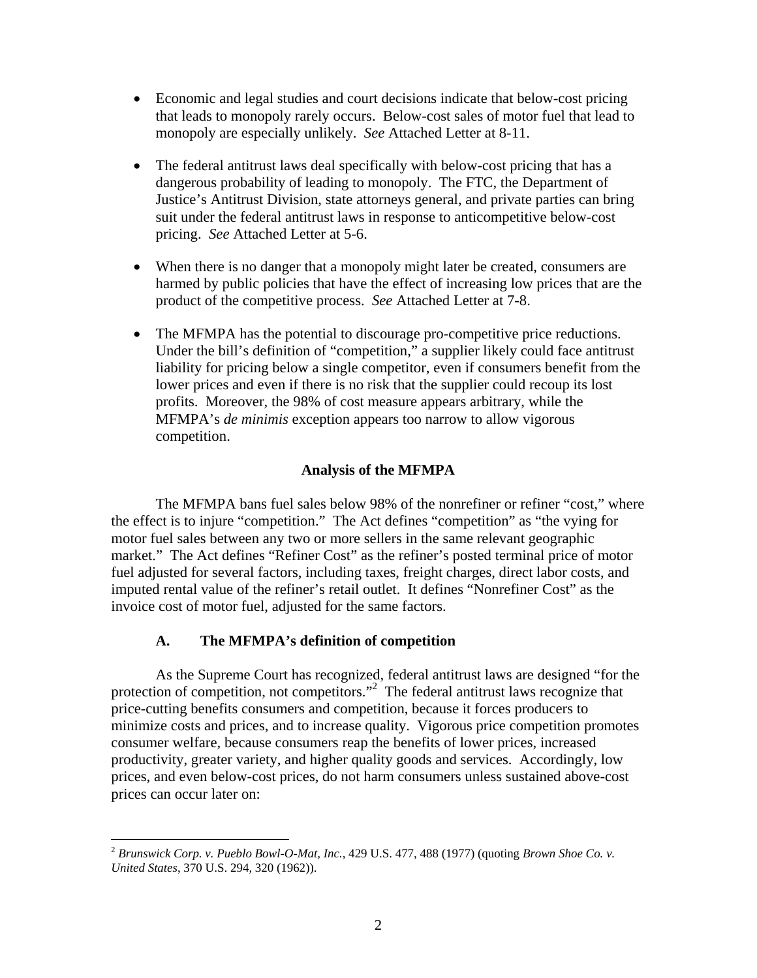- Economic and legal studies and court decisions indicate that below-cost pricing that leads to monopoly rarely occurs. Below-cost sales of motor fuel that lead to monopoly are especially unlikely. *See* Attached Letter at 8-11.
- The federal antitrust laws deal specifically with below-cost pricing that has a dangerous probability of leading to monopoly. The FTC, the Department of Justice's Antitrust Division, state attorneys general, and private parties can bring suit under the federal antitrust laws in response to anticompetitive below-cost pricing. *See* Attached Letter at 5-6.
- When there is no danger that a monopoly might later be created, consumers are harmed by public policies that have the effect of increasing low prices that are the product of the competitive process. *See* Attached Letter at 7-8.
- The MFMPA has the potential to discourage pro-competitive price reductions. Under the bill's definition of "competition," a supplier likely could face antitrust liability for pricing below a single competitor, even if consumers benefit from the lower prices and even if there is no risk that the supplier could recoup its lost profits. Moreover, the 98% of cost measure appears arbitrary, while the MFMPA's *de minimis* exception appears too narrow to allow vigorous competition.

## **Analysis of the MFMPA**

The MFMPA bans fuel sales below 98% of the nonrefiner or refiner "cost," where the effect is to injure "competition." The Act defines "competition" as "the vying for motor fuel sales between any two or more sellers in the same relevant geographic market." The Act defines "Refiner Cost" as the refiner's posted terminal price of motor fuel adjusted for several factors, including taxes, freight charges, direct labor costs, and imputed rental value of the refiner's retail outlet. It defines "Nonrefiner Cost" as the invoice cost of motor fuel, adjusted for the same factors.

# **A. The MFMPA's definition of competition**

 $\overline{a}$ 

As the Supreme Court has recognized, federal antitrust laws are designed "for the protection of competition, not competitors."<sup>2</sup> The federal antitrust laws recognize that price-cutting benefits consumers and competition, because it forces producers to minimize costs and prices, and to increase quality. Vigorous price competition promotes consumer welfare, because consumers reap the benefits of lower prices, increased productivity, greater variety, and higher quality goods and services. Accordingly, low prices, and even below-cost prices, do not harm consumers unless sustained above-cost prices can occur later on:

<sup>2</sup> *Brunswick Corp. v. Pueblo Bowl-O-Mat, Inc.*, 429 U.S. 477, 488 (1977) (quoting *Brown Shoe Co. v. United States*, 370 U.S. 294, 320 (1962)).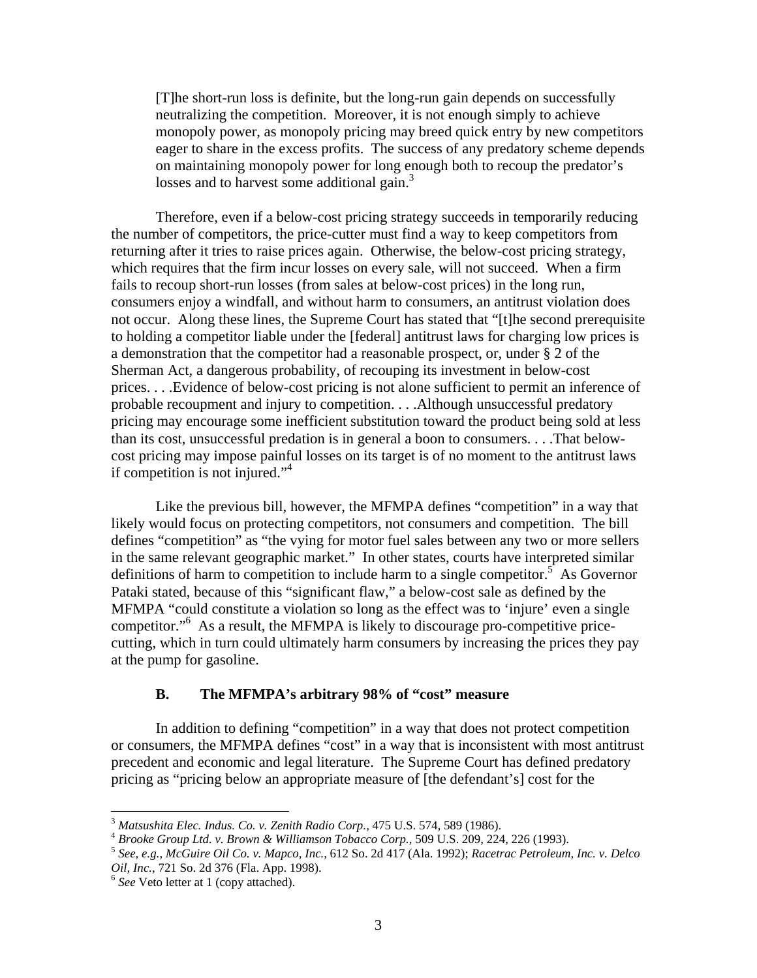[T]he short-run loss is definite, but the long-run gain depends on successfully neutralizing the competition. Moreover, it is not enough simply to achieve monopoly power, as monopoly pricing may breed quick entry by new competitors eager to share in the excess profits. The success of any predatory scheme depends on maintaining monopoly power for long enough both to recoup the predator's losses and to harvest some additional gain.<sup>3</sup>

 Therefore, even if a below-cost pricing strategy succeeds in temporarily reducing the number of competitors, the price-cutter must find a way to keep competitors from returning after it tries to raise prices again. Otherwise, the below-cost pricing strategy, which requires that the firm incur losses on every sale, will not succeed. When a firm fails to recoup short-run losses (from sales at below-cost prices) in the long run, consumers enjoy a windfall, and without harm to consumers, an antitrust violation does not occur. Along these lines, the Supreme Court has stated that "[t]he second prerequisite to holding a competitor liable under the [federal] antitrust laws for charging low prices is a demonstration that the competitor had a reasonable prospect, or, under § 2 of the Sherman Act, a dangerous probability, of recouping its investment in below-cost prices. . . .Evidence of below-cost pricing is not alone sufficient to permit an inference of probable recoupment and injury to competition. . . .Although unsuccessful predatory pricing may encourage some inefficient substitution toward the product being sold at less than its cost, unsuccessful predation is in general a boon to consumers. . . .That belowcost pricing may impose painful losses on its target is of no moment to the antitrust laws if competition is not injured." $4$ 

Like the previous bill, however, the MFMPA defines "competition" in a way that likely would focus on protecting competitors, not consumers and competition. The bill defines "competition" as "the vying for motor fuel sales between any two or more sellers in the same relevant geographic market." In other states, courts have interpreted similar definitions of harm to competition to include harm to a single competitor.<sup>5</sup> As Governor Pataki stated, because of this "significant flaw," a below-cost sale as defined by the MFMPA "could constitute a violation so long as the effect was to 'injure' even a single competitor."6 As a result, the MFMPA is likely to discourage pro-competitive pricecutting, which in turn could ultimately harm consumers by increasing the prices they pay at the pump for gasoline.

### **B. The MFMPA's arbitrary 98% of "cost" measure**

In addition to defining "competition" in a way that does not protect competition or consumers, the MFMPA defines "cost" in a way that is inconsistent with most antitrust precedent and economic and legal literature. The Supreme Court has defined predatory pricing as "pricing below an appropriate measure of [the defendant's] cost for the

 $\overline{a}$ 

<sup>&</sup>lt;sup>3</sup> Matsushita Elec. Indus. Co. v. Zenith Radio Corp., 475 U.S. 574, 589 (1986).<br><sup>4</sup> Brooke Group Ltd. v. Brown & Williamson Tobacco Corp., 509 U.S. 209, 224, 226 (1993).<br><sup>5</sup> See, e.g., McGuire Oil Co. v. Mapco, Inc., 612 *Oil, Inc.*, 721 So. 2d 376 (Fla. App. 1998). 6 *See* Veto letter at 1 (copy attached).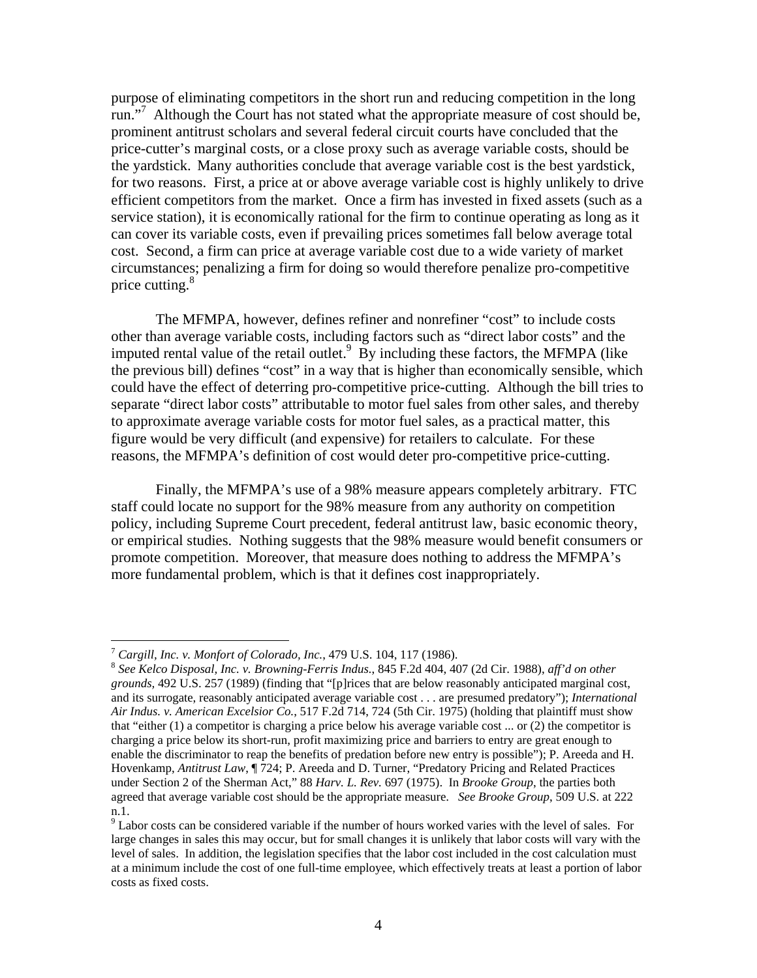purpose of eliminating competitors in the short run and reducing competition in the long run."<sup>7</sup> Although the Court has not stated what the appropriate measure of cost should be, prominent antitrust scholars and several federal circuit courts have concluded that the price-cutter's marginal costs, or a close proxy such as average variable costs, should be the yardstick. Many authorities conclude that average variable cost is the best yardstick, for two reasons. First, a price at or above average variable cost is highly unlikely to drive efficient competitors from the market. Once a firm has invested in fixed assets (such as a service station), it is economically rational for the firm to continue operating as long as it can cover its variable costs, even if prevailing prices sometimes fall below average total cost. Second, a firm can price at average variable cost due to a wide variety of market circumstances; penalizing a firm for doing so would therefore penalize pro-competitive price cutting.<sup>8</sup>

The MFMPA, however, defines refiner and nonrefiner "cost" to include costs other than average variable costs, including factors such as "direct labor costs" and the imputed rental value of the retail outlet. $9\overline{B}y$  including these factors, the MFMPA (like the previous bill) defines "cost" in a way that is higher than economically sensible, which could have the effect of deterring pro-competitive price-cutting. Although the bill tries to separate "direct labor costs" attributable to motor fuel sales from other sales, and thereby to approximate average variable costs for motor fuel sales, as a practical matter, this figure would be very difficult (and expensive) for retailers to calculate. For these reasons, the MFMPA's definition of cost would deter pro-competitive price-cutting.

 Finally, the MFMPA's use of a 98% measure appears completely arbitrary. FTC staff could locate no support for the 98% measure from any authority on competition policy, including Supreme Court precedent, federal antitrust law, basic economic theory, or empirical studies. Nothing suggests that the 98% measure would benefit consumers or promote competition. Moreover, that measure does nothing to address the MFMPA's more fundamental problem, which is that it defines cost inappropriately.

 $\overline{a}$ 

<sup>7</sup> *Cargill, Inc. v. Monfort of Colorado, Inc.*, 479 U.S. 104, 117 (1986). 8 *See Kelco Disposal, Inc. v. Browning-Ferris Indus.*, 845 F.2d 404, 407 (2d Cir. 1988), *aff'd on other grounds,* 492 U.S. 257 (1989) (finding that "[p]rices that are below reasonably anticipated marginal cost, and its surrogate, reasonably anticipated average variable cost . . . are presumed predatory"); *International Air Indus. v. American Excelsior Co.*, 517 F.2d 714, 724 (5th Cir. 1975) (holding that plaintiff must show that "either (1) a competitor is charging a price below his average variable cost ... or (2) the competitor is charging a price below its short-run, profit maximizing price and barriers to entry are great enough to enable the discriminator to reap the benefits of predation before new entry is possible"); P. Areeda and H. Hovenkamp, *Antitrust Law*, ¶ 724; P. Areeda and D. Turner, "Predatory Pricing and Related Practices under Section 2 of the Sherman Act," 88 *Harv. L. Rev.* 697 (1975). In *Brooke Group*, the parties both agreed that average variable cost should be the appropriate measure. *See Brooke Group*, 509 U.S. at 222 n.1.

 $9<sup>9</sup>$  Labor costs can be considered variable if the number of hours worked varies with the level of sales. For large changes in sales this may occur, but for small changes it is unlikely that labor costs will vary with the level of sales. In addition, the legislation specifies that the labor cost included in the cost calculation must at a minimum include the cost of one full-time employee, which effectively treats at least a portion of labor costs as fixed costs.